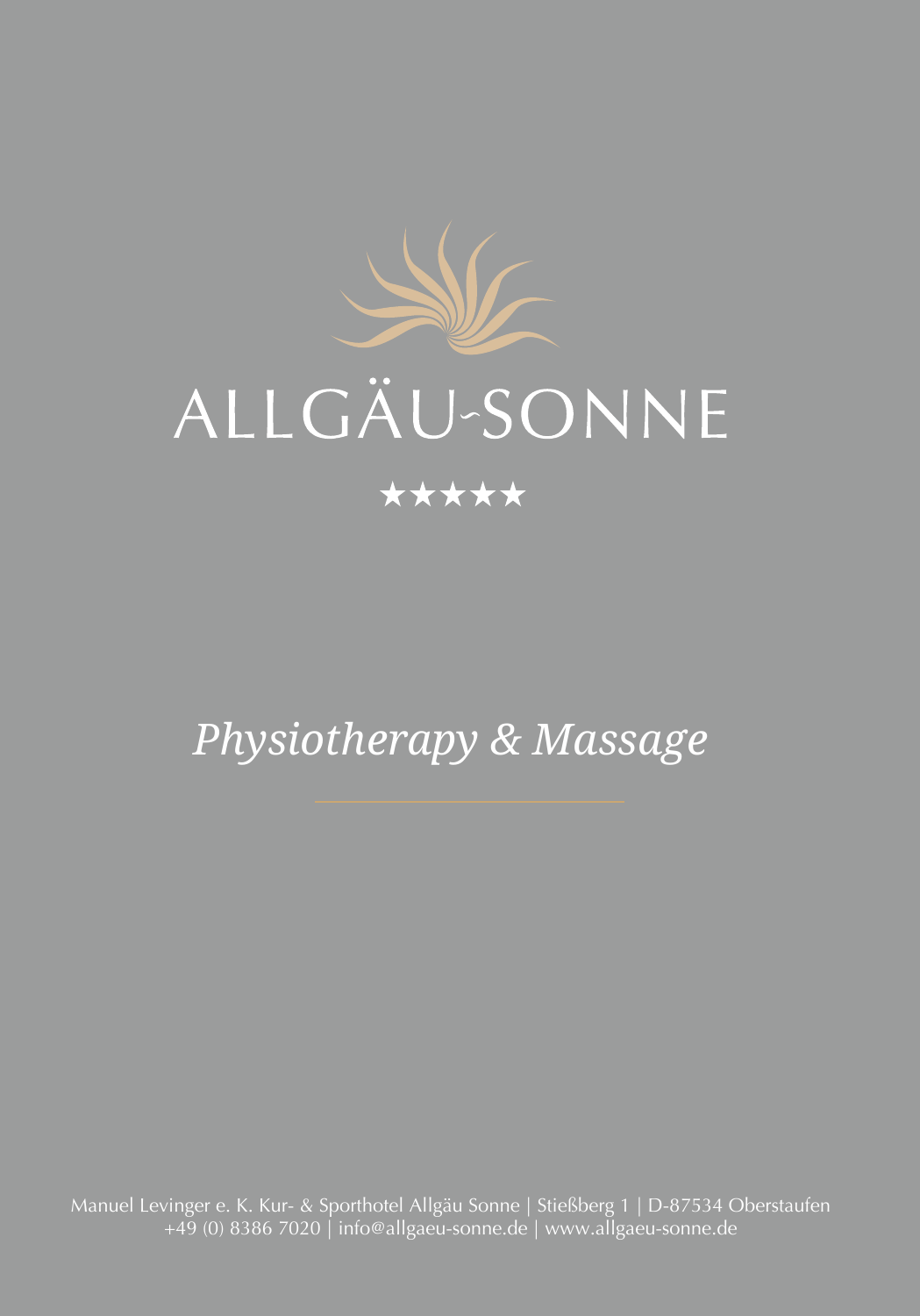

# **ALLGÄU-SONNE**

### \*\*\*\*\*

## *Physiotherapy & Massage*

Manuel Levinger e. K. Kur- & Sporthotel Allgäu Sonne | Stießberg 1 | D-87534 Oberstaufen +49 (0) 8386 7020 | info@allgaeu-sonne.de | www.allgaeu-sonne.de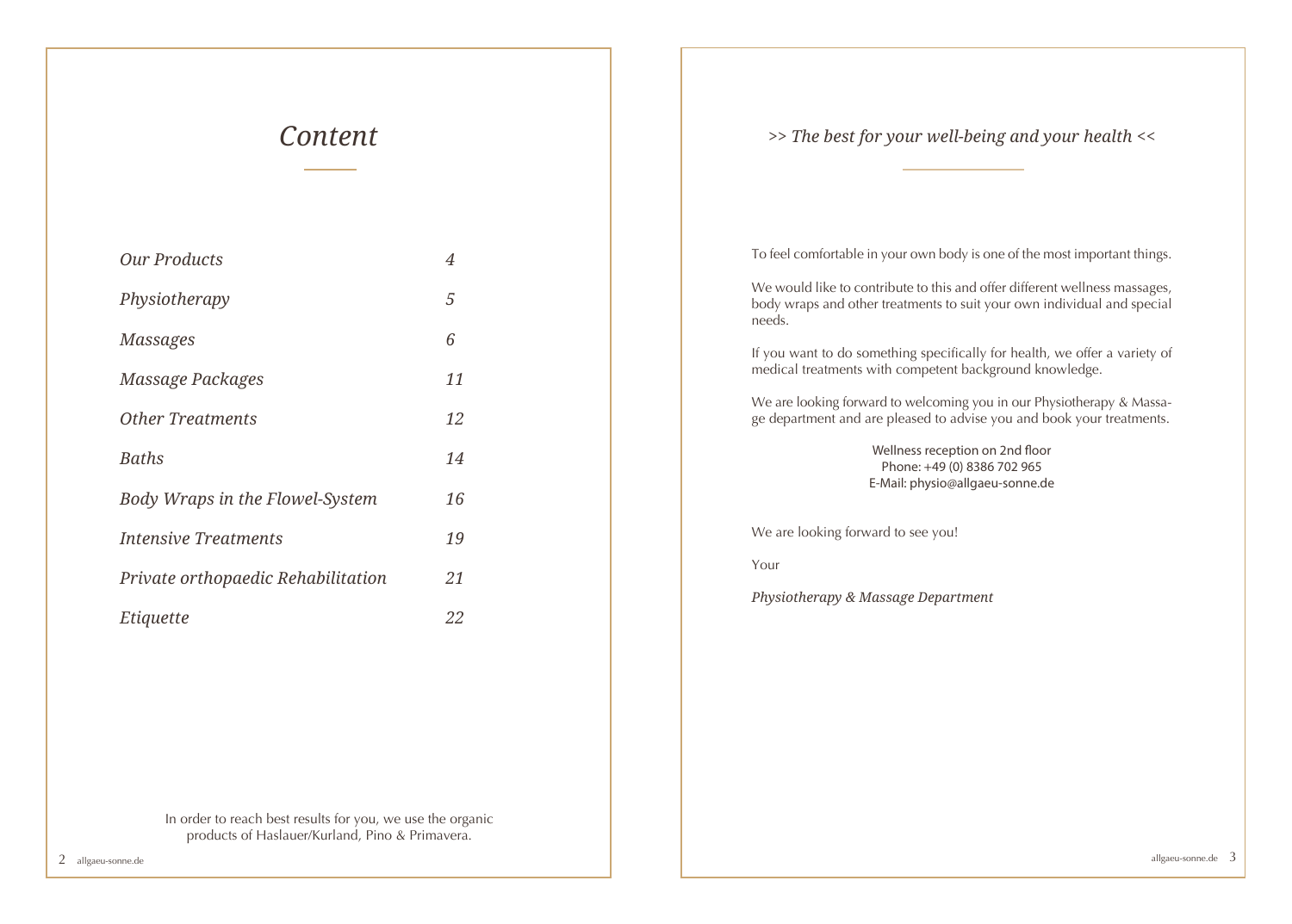### *Content*

| <b>Our Products</b>                       | 4  |
|-------------------------------------------|----|
| Physiotherapy                             | 5  |
| <b>Massages</b>                           | 6  |
| Massage Packages                          | 11 |
| <b>Other Treatments</b>                   | 12 |
| <b>Baths</b>                              | 14 |
| Body Wraps in the Flowel-System           | 16 |
| <i><u><b>Intensive Treatments</b></u></i> | 19 |
| Private orthopaedic Rehabilitation        | 21 |
| Etiquette                                 | 22 |

*>> The best for your well-being and your health <<* 

To feel comfortable in your own body is one of the most important things.

We would like to contribute to this and offer different wellness massages, body wraps and other treatments to suit your own individual and special needs.

If you want to do something specifically for health, we offer a variety of medical treatments with competent background knowledge.

We are looking forward to welcoming you in our Physiotherapy & Massage department and are pleased to advise you and book your treatments.

> Wellness reception on 2nd floor Phone: +49 (0) 8386 702 965 E-Mail: physio@allgaeu-sonne.de

We are looking forward to see you!

Your

*Physiotherapy & Massage Department*

In order to reach best results for you, we use the organic products of Haslauer/Kurland, Pino & Primavera.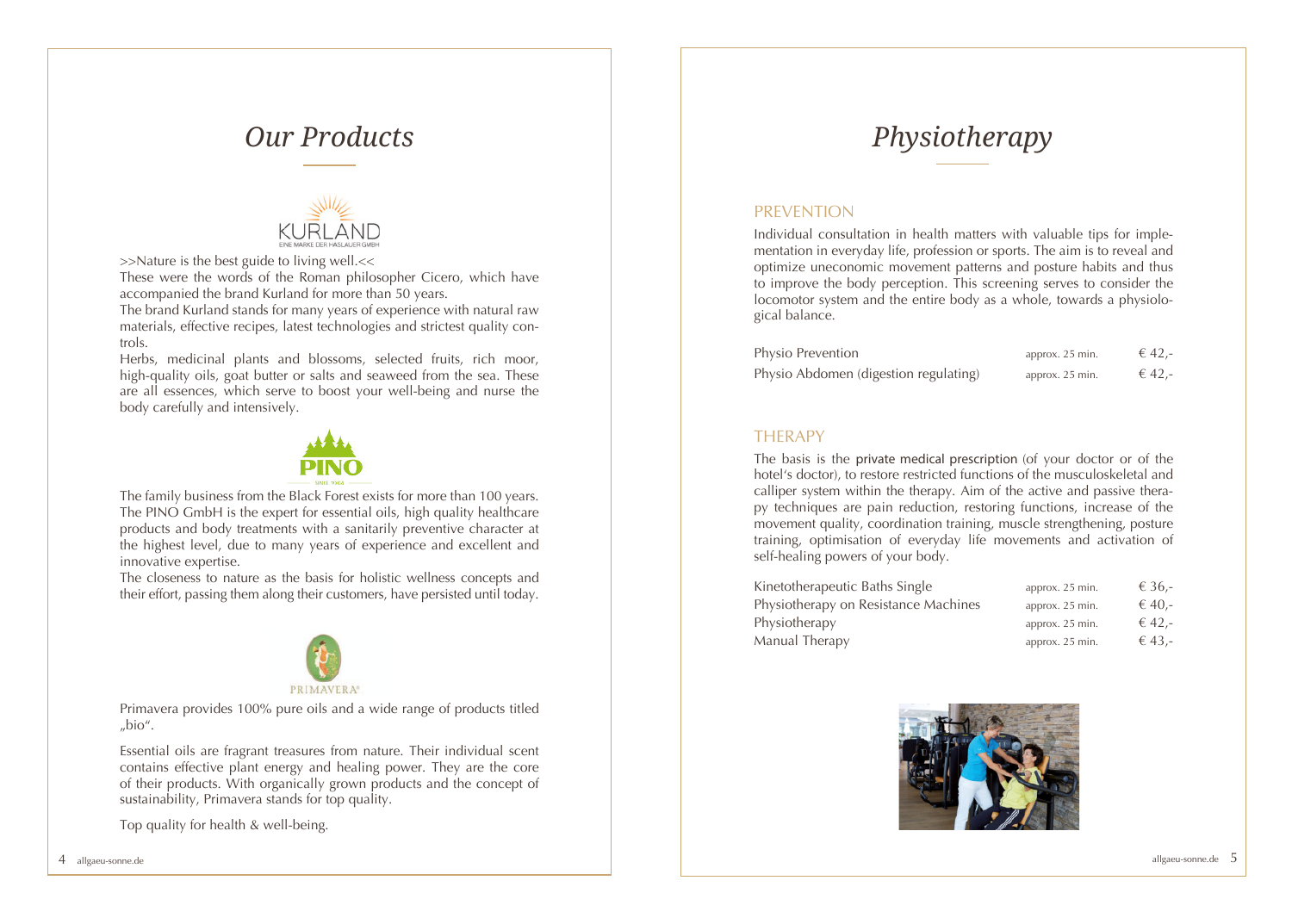

>>Nature is the best guide to living well.<<

These were the words of the Roman philosopher Cicero, which have accompanied the brand Kurland for more than 50 years.

The brand Kurland stands for many years of experience with natural raw materials, effective recipes, latest technologies and strictest quality controls.

Herbs, medicinal plants and blossoms, selected fruits, rich moor, high-quality oils, goat butter or salts and seaweed from the sea. These are all essences, which serve to boost your well-being and nurse the body carefully and intensively.



The family business from the Black Forest exists for more than 100 years. The PINO GmbH is the expert for essential oils, high quality healthcare products and body treatments with a sanitarily preventive character at the highest level, due to many years of experience and excellent and innovative expertise.

The closeness to nature as the basis for holistic wellness concepts and their effort, passing them along their customers, have persisted until today.



Primavera provides 100% pure oils and a wide range of products titled "bio".

Essential oils are fragrant treasures from nature. Their individual scent contains effective plant energy and healing power. They are the core of their products. With organically grown products and the concept of sustainability, Primavera stands for top quality.

Top quality for health & well-being.

## *Our Products* **Physiotherapy**

#### **PREVENTION**

Individual consultation in health matters with valuable tips for implementation in everyday life, profession or sports. The aim is to reveal and optimize uneconomic movement patterns and posture habits and thus to improve the body perception. This screening serves to consider the locomotor system and the entire body as a whole, towards a physiological balance.

| Physio Prevention                     | approx. 25 min. | € 42,- |
|---------------------------------------|-----------------|--------|
| Physio Abdomen (digestion regulating) | approx. 25 min. | € 42,- |

#### **THERAPY**

The basis is the private medical prescription (of your doctor or of the hotel's doctor), to restore restricted functions of the musculoskeletal and calliper system within the therapy. Aim of the active and passive therapy techniques are pain reduction, restoring functions, increase of the movement quality, coordination training, muscle strengthening, posture training, optimisation of everyday life movements and activation of self-healing powers of your body.

| Kinetotherapeutic Baths Single       | approx. 25 min. | € 36.- |
|--------------------------------------|-----------------|--------|
| Physiotherapy on Resistance Machines | approx. 25 min. | € 40.- |
| Physiotherapy                        | approx. 25 min. | € 42,- |
| Manual Therapy                       | approx. 25 min. | € 43,- |
|                                      |                 |        |

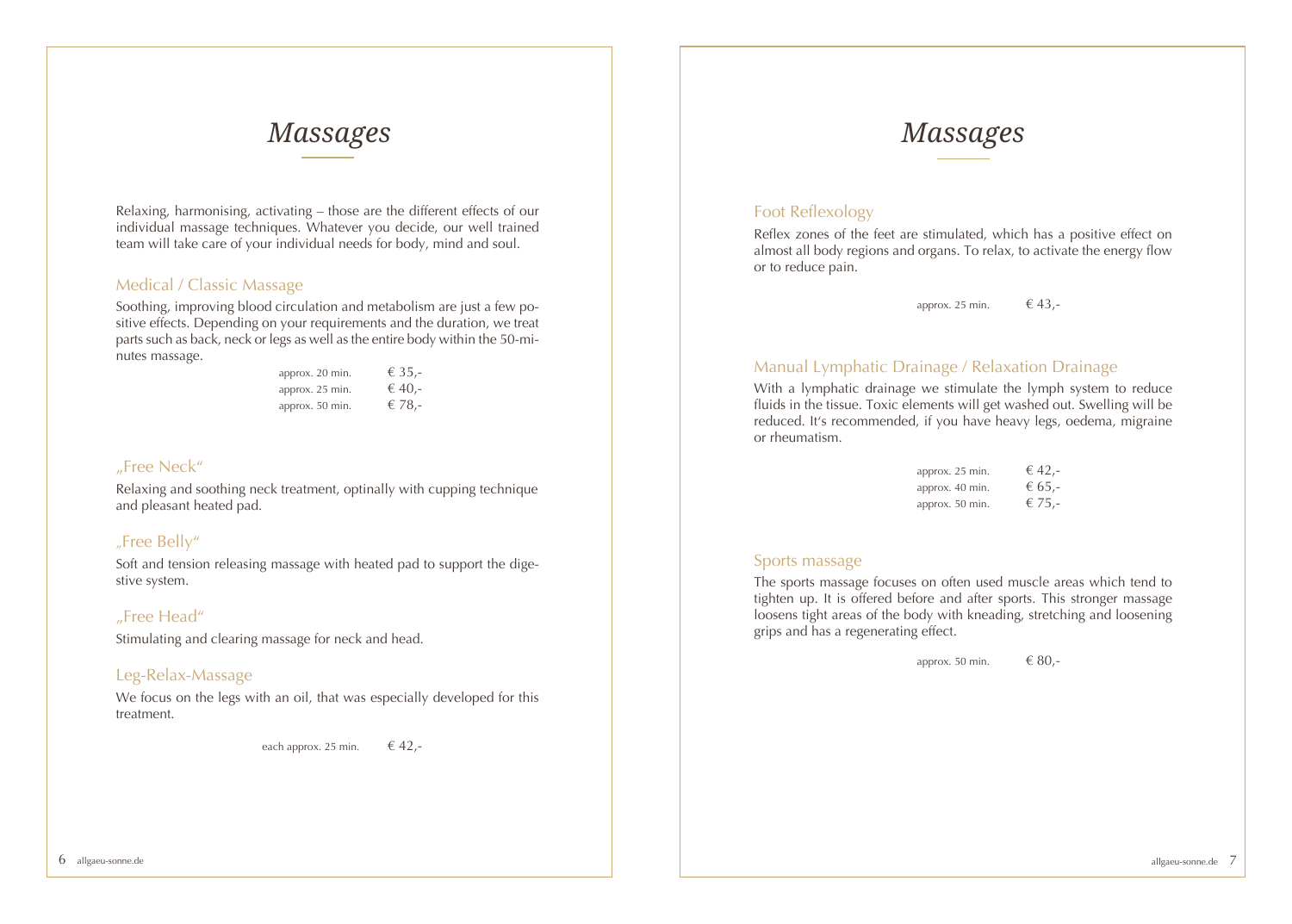### *Massages Massages*

Relaxing, harmonising, activating – those are the different effects of our individual massage techniques. Whatever you decide, our well trained team will take care of your individual needs for body, mind and soul.

#### Medical / Classic Massage

Soothing, improving blood circulation and metabolism are just a few positive effects. Depending on your requirements and the duration, we treat parts such as back, neck or legs as well as the entire body within the 50-minutes massage.

| approx. 20 min. | € 35.- |
|-----------------|--------|
| approx. 25 min. | € 40,- |
| approx. 50 min. | € 78,- |

#### "Free Neck"

Relaxing and soothing neck treatment, optinally with cupping technique and pleasant heated pad.

### "Free Belly"

Soft and tension releasing massage with heated pad to support the digestive system.

#### "Free Head"

Stimulating and clearing massage for neck and head.

#### Leg-Relax-Massage

We focus on the legs with an oil, that was especially developed for this treatment.

each approx. 25 min.  $\epsilon$  42,-

### Foot Reflexology

Reflex zones of the feet are stimulated, which has a positive effect on almost all body regions and organs. To relax, to activate the energy flow or to reduce pain.

approx. 25 min.  $\epsilon$  43,-

#### Manual Lymphatic Drainage / Relaxation Drainage

With a lymphatic drainage we stimulate the lymph system to reduce fluids in the tissue. Toxic elements will get washed out. Swelling will be reduced. It's recommended, if you have heavy legs, oedema, migraine or rheumatism.

| approx. 25 min. | € 42,- |
|-----------------|--------|
| approx. 40 min. | € 65,- |
| approx. 50 min. | € 75,- |

#### Sports massage

The sports massage focuses on often used muscle areas which tend to tighten up. It is offered before and after sports. This stronger massage loosens tight areas of the body with kneading, stretching and loosening grips and has a regenerating effect.

approx. 50 min.  $680,-$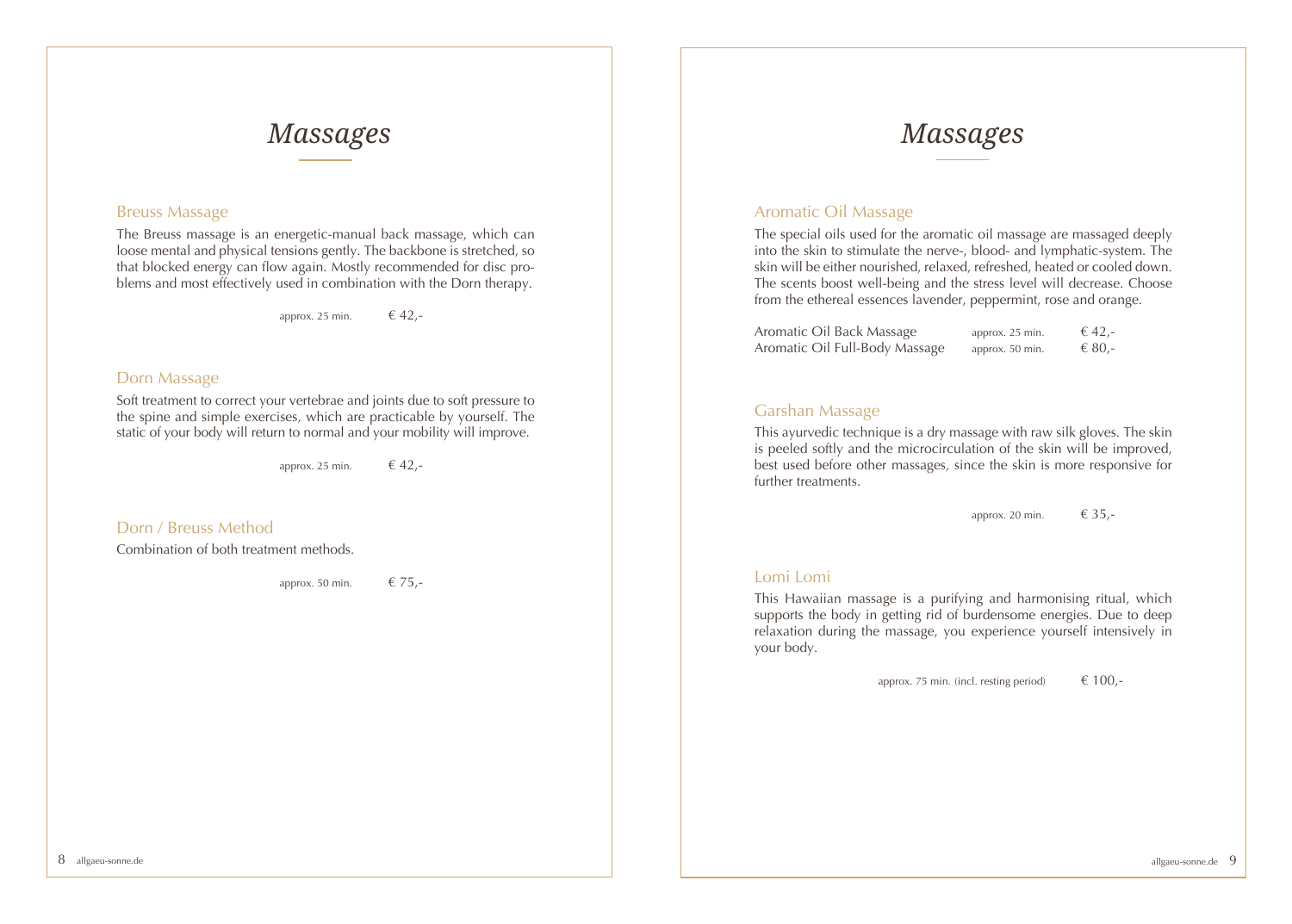### *Massages Massages*

#### Breuss Massage

The Breuss massage is an energetic-manual back massage, which can loose mental and physical tensions gently. The backbone is stretched, so that blocked energy can flow again. Mostly recommended for disc problems and most effectively used in combination with the Dorn therapy.

approx. 25 min.  $\epsilon$  42,-

#### Dorn Massage

Soft treatment to correct your vertebrae and joints due to soft pressure to the spine and simple exercises, which are practicable by yourself. The static of your body will return to normal and your mobility will improve.

approx. 25 min.  $\epsilon$  42,-

#### Dorn / Breuss Method

Combination of both treatment methods.

approx. 50 min.  $\epsilon$  75,-

#### Aromatic Oil Massage

The special oils used for the aromatic oil massage are massaged deeply into the skin to stimulate the nerve-, blood- and lymphatic-system. The skin will be either nourished, relaxed, refreshed, heated or cooled down. The scents boost well-being and the stress level will decrease. Choose from the ethereal essences lavender, peppermint, rose and orange.

| Aromatic Oil Back Massage      | approx. 25 min. | € 42,- |
|--------------------------------|-----------------|--------|
| Aromatic Oil Full-Body Massage | approx. 50 min. | € 80,- |

#### Garshan Massage

This ayurvedic technique is a dry massage with raw silk gloves. The skin is peeled softly and the microcirculation of the skin will be improved, best used before other massages, since the skin is more responsive for further treatments.

approx. 20 min.  $\epsilon$  35,-

#### Lomi Lomi

This Hawaiian massage is a purifying and harmonising ritual, which supports the body in getting rid of burdensome energies. Due to deep relaxation during the massage, you experience yourself intensively in your body.

approx. 75 min. (incl. resting period)  $\epsilon$  100,-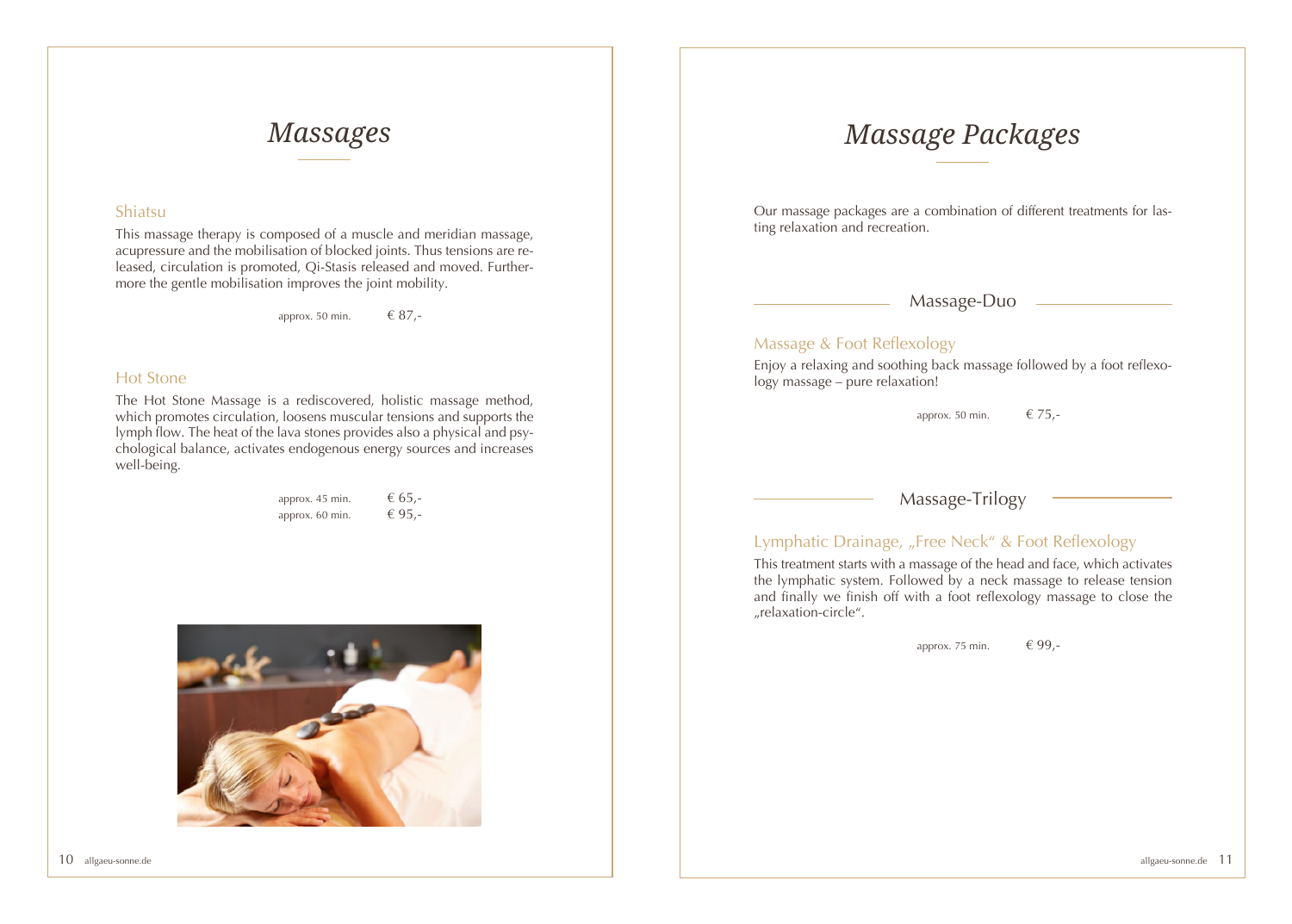#### Shiatsu

This massage therapy is composed of a muscle and meridian massage, acupressure and the mobilisation of blocked joints. Thus tensions are released, circulation is promoted, Qi-Stasis released and moved. Furthermore the gentle mobilisation improves the joint mobility.

approx. 50 min.  $687 -$ 

#### Hot Stone

The Hot Stone Massage is a rediscovered, holistic massage method, which promotes circulation, loosens muscular tensions and supports the lymph flow. The heat of the lava stones provides also a physical and psychological balance, activates endogenous energy sources and increases well-being.

| approx. 45 min. | € 65,- |
|-----------------|--------|
| approx. 60 min. | € 95,- |



## *Massages Massage Packages*

Our massage packages are a combination of different treatments for lasting relaxation and recreation.

Massage-Duo

#### Massage & Foot Reflexology

Enjoy a relaxing and soothing back massage followed by a foot reflexology massage – pure relaxation!

approx. 50 min.  $\epsilon$  75,-

Massage-Trilogy

### Lymphatic Drainage, "Free Neck" & Foot Reflexology

This treatment starts with a massage of the head and face, which activates the lymphatic system. Followed by a neck massage to release tension and finally we finish off with a foot reflexology massage to close the "relaxation-circle".

approx. 75 min.  $\epsilon$  99,-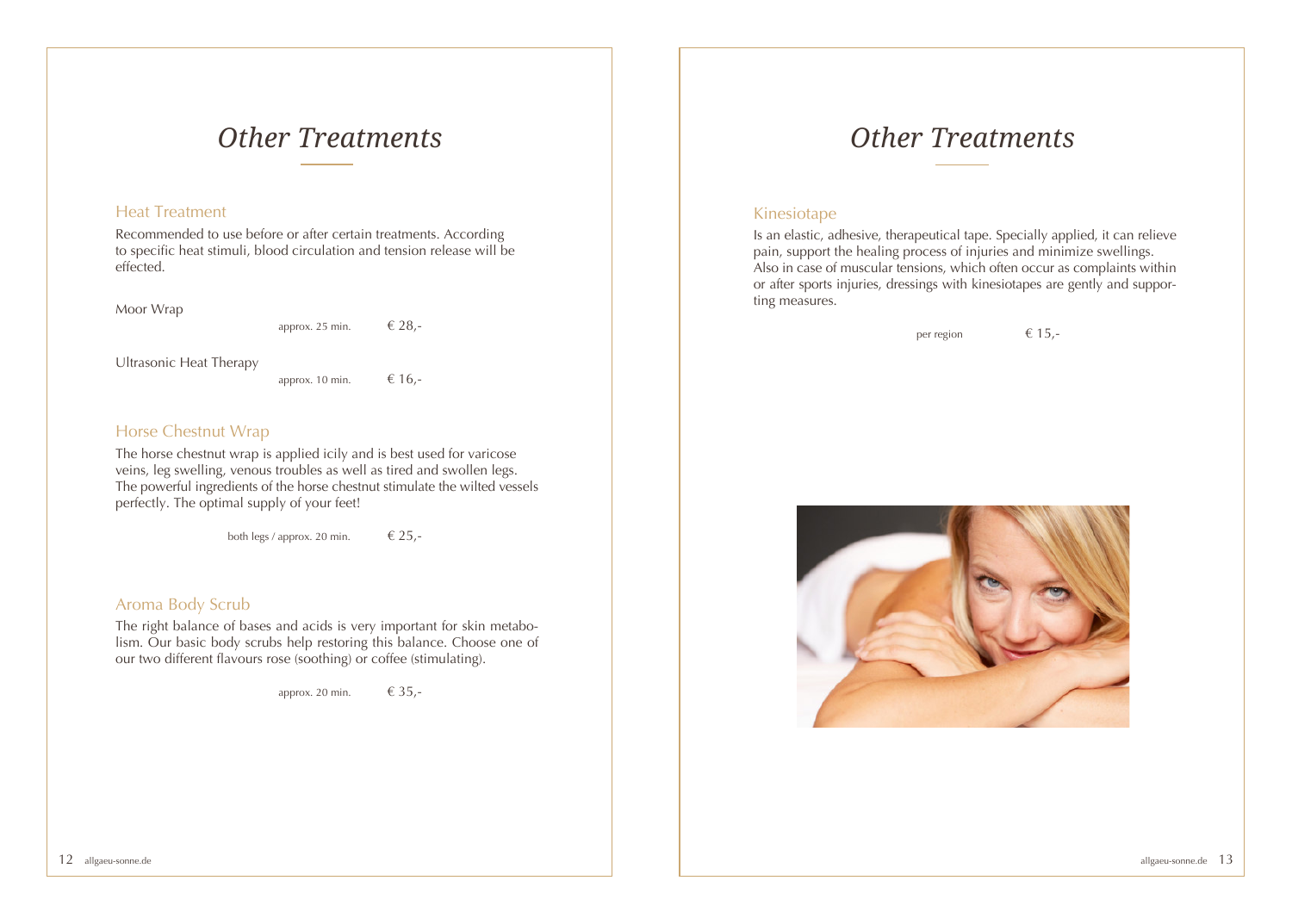### *Other Treatments*

#### Heat Treatment

Recommended to use before or after certain treatments. According to specific heat stimuli, blood circulation and tension release will be effected.

Moor Wrap

approx. 25 min.  $\epsilon$  28,-

Ultrasonic Heat Therapy

approx. 10 min.  $\epsilon$  16,-

#### Horse Chestnut Wrap

The horse chestnut wrap is applied icily and is best used for varicose veins, leg swelling, venous troubles as well as tired and swollen legs. The powerful ingredients of the horse chestnut stimulate the wilted vessels perfectly. The optimal supply of your feet!

both legs / approx. 20 min.  $\epsilon$  25,-

#### Aroma Body Scrub

The right balance of bases and acids is very important for skin metabolism. Our basic body scrubs help restoring this balance. Choose one of our two different flavours rose (soothing) or coffee (stimulating).

approx. 20 min.  $\epsilon$  35,-

## *Other Treatments*

#### Kinesiotape

Is an elastic, adhesive, therapeutical tape. Specially applied, it can relieve pain, support the healing process of injuries and minimize swellings. Also in case of muscular tensions, which often occur as complaints within or after sports injuries, dressings with kinesiotapes are gently and supporting measures.

per region  $\epsilon$  15,-

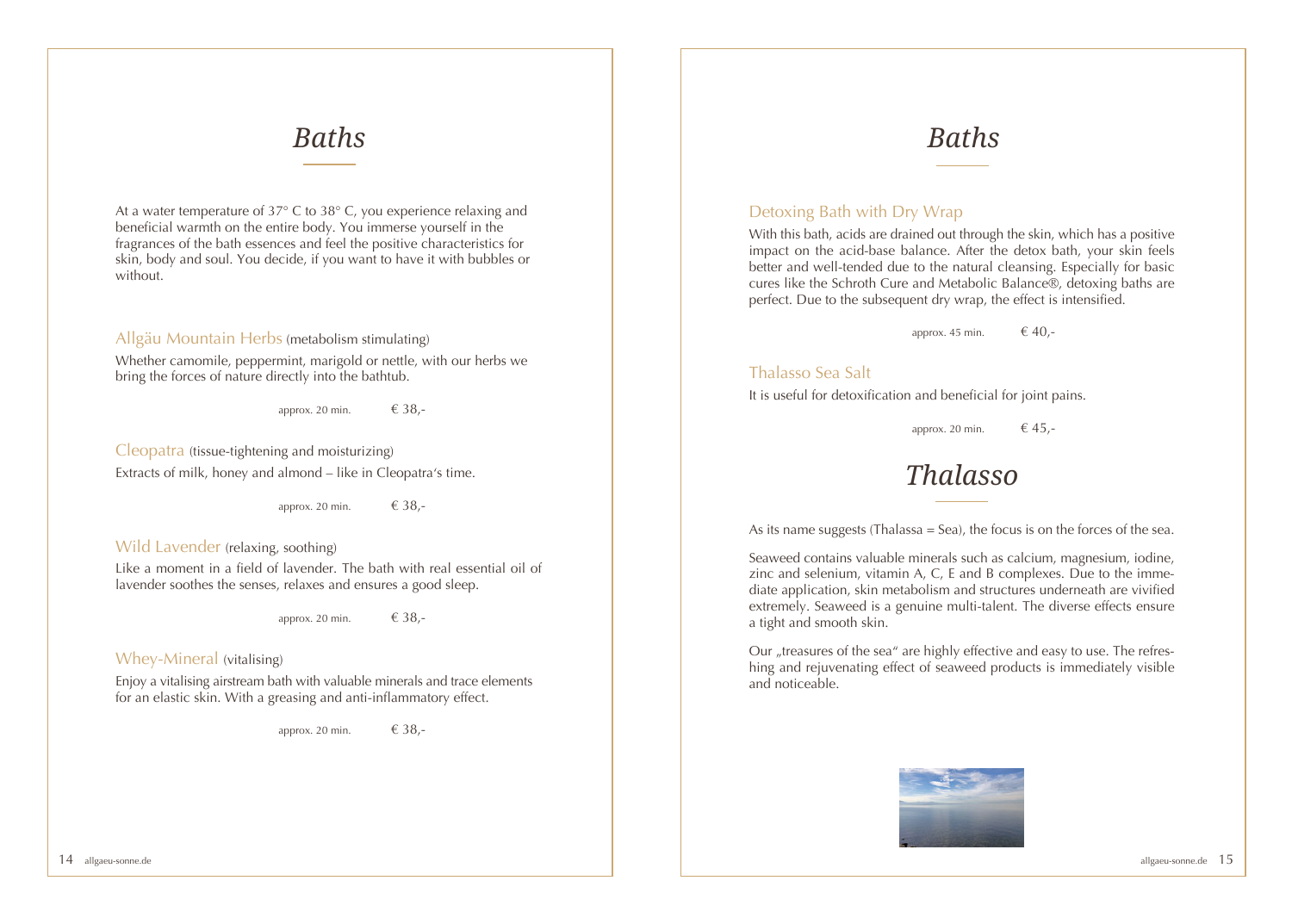## *Baths Baths*

At a water temperature of 37° C to 38° C, you experience relaxing and beneficial warmth on the entire body. You immerse yourself in the fragrances of the bath essences and feel the positive characteristics for skin, body and soul. You decide, if you want to have it with bubbles or without.

#### Allgäu Mountain Herbs (metabolism stimulating)

Whether camomile, peppermint, marigold or nettle, with our herbs we bring the forces of nature directly into the bathtub.

approx. 20 min.  $\epsilon$  38,-

Cleopatra (tissue-tightening and moisturizing) Extracts of milk, honey and almond – like in Cleopatra's time.

approx. 20 min.  $\epsilon$  38,-

#### Wild Lavender (relaxing, soothing)

Like a moment in a field of lavender. The bath with real essential oil of lavender soothes the senses, relaxes and ensures a good sleep.

approx. 20 min.  $\epsilon$  38,-

#### Whey-Mineral (vitalising)

Enjoy a vitalising airstream bath with valuable minerals and trace elements for an elastic skin. With a greasing and anti-inflammatory effect.

approx. 20 min.  $\epsilon$  38,-

#### Detoxing Bath with Dry Wrap

With this bath, acids are drained out through the skin, which has a positive impact on the acid-base balance. After the detox bath, your skin feels better and well-tended due to the natural cleansing. Especially for basic cures like the Schroth Cure and Metabolic Balance®, detoxing baths are perfect. Due to the subsequent dry wrap, the effect is intensified.

approx. 45 min.  $\epsilon$  40,-

#### Thalasso Sea Salt

It is useful for detoxification and beneficial for joint pains.

approx. 20 min.  $\epsilon$  45,-

### *Thalasso*

As its name suggests (Thalassa  $=$  Sea), the focus is on the forces of the sea.

Seaweed contains valuable minerals such as calcium, magnesium, iodine, zinc and selenium, vitamin A, C, E and B complexes. Due to the immediate application, skin metabolism and structures underneath are vivified extremely. Seaweed is a genuine multi-talent. The diverse effects ensure a tight and smooth skin.

Our "treasures of the sea" are highly effective and easy to use. The refreshing and rejuvenating effect of seaweed products is immediately visible and noticeable.

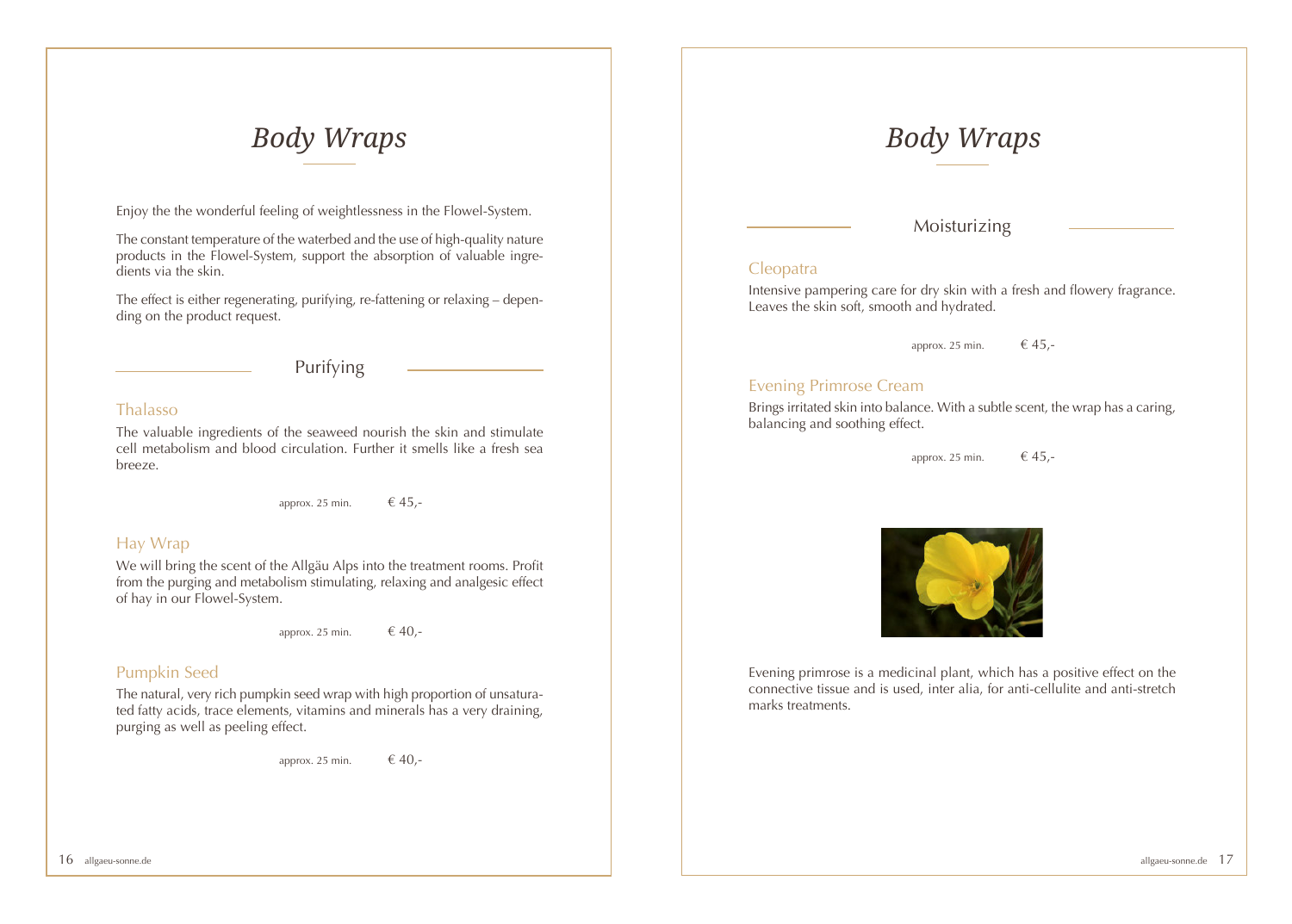## *Body Wraps Body Wraps*

Enjoy the the wonderful feeling of weightlessness in the Flowel-System.

The constant temperature of the waterbed and the use of high-quality nature products in the Flowel-System, support the absorption of valuable ingredients via the skin.

The effect is either regenerating, purifying, re-fattening or relaxing – depending on the product request.

Purifying

#### Thalasso

The valuable ingredients of the seaweed nourish the skin and stimulate cell metabolism and blood circulation. Further it smells like a fresh sea breeze.

approx. 25 min.  $\epsilon$  45,-

### Hay Wrap

We will bring the scent of the Allgäu Alps into the treatment rooms. Profit from the purging and metabolism stimulating, relaxing and analgesic effect of hay in our Flowel-System.

approx. 25 min.  $\epsilon$  40,-

#### Pumpkin Seed

The natural, very rich pumpkin seed wrap with high proportion of unsaturated fatty acids, trace elements, vitamins and minerals has a very draining, purging as well as peeling effect.

approx. 25 min.  $\epsilon$  40,-

Moisturizing

#### **Cleopatra**

Intensive pampering care for dry skin with a fresh and flowery fragrance. Leaves the skin soft, smooth and hydrated.

approx. 25 min.  $\epsilon$  45.-

### Evening Primrose Cream

Brings irritated skin into balance. With a subtle scent, the wrap has a caring, balancing and soothing effect.

approx. 25 min.  $\epsilon$  45,-



Evening primrose is a medicinal plant, which has a positive effect on the connective tissue and is used, inter alia, for anti-cellulite and anti-stretch marks treatments.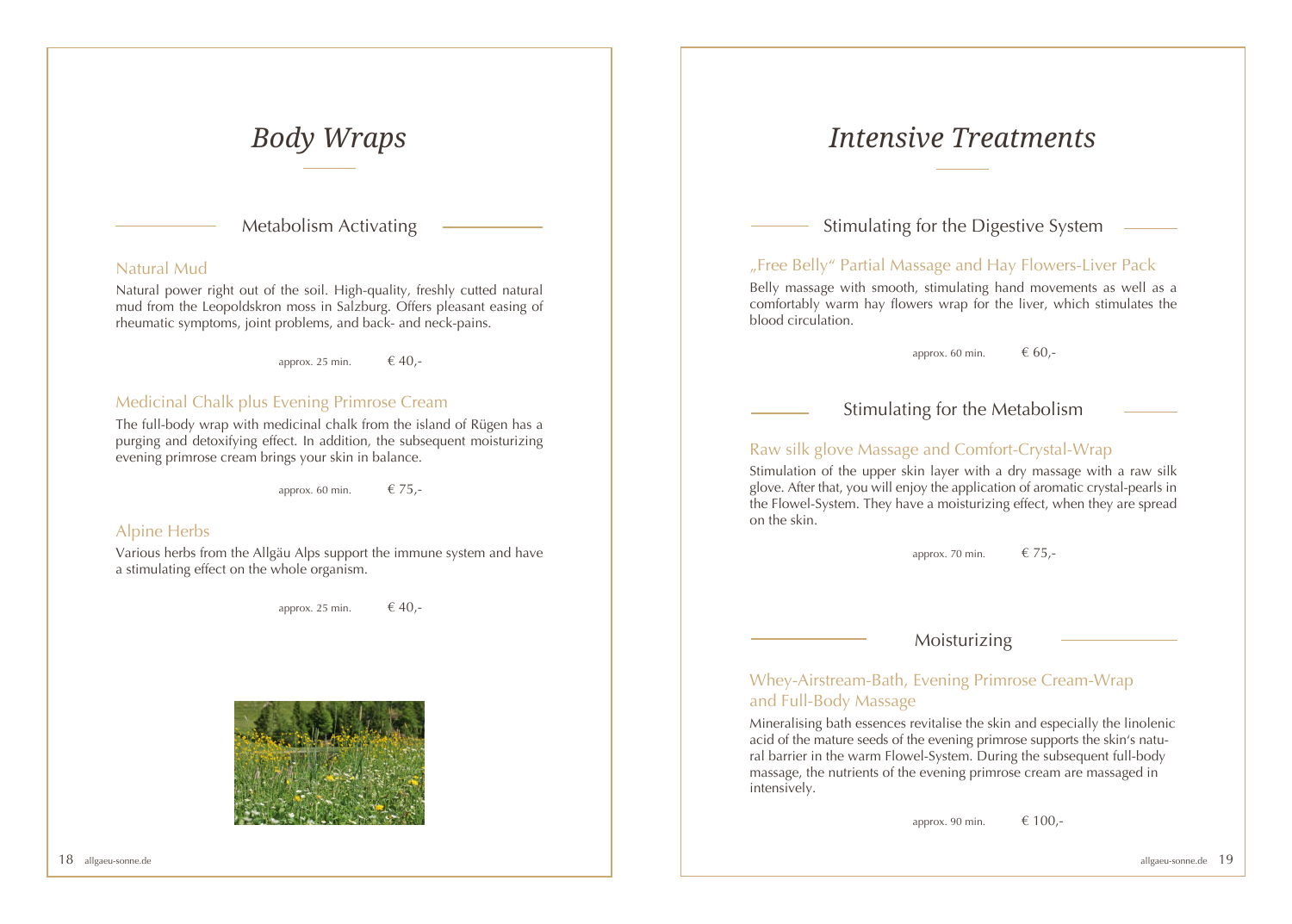Metabolism Activating

#### Natural Mud

Natural power right out of the soil. High-quality, freshly cutted natural mud from the Leopoldskron moss in Salzburg. Offers pleasant easing of rheumatic symptoms, joint problems, and back- and neck-pains.

approx. 25 min.  $\epsilon$  40,-

### Medicinal Chalk plus Evening Primrose Cream

The full-body wrap with medicinal chalk from the island of Rügen has a purging and detoxifying effect. In addition, the subsequent moisturizing evening primrose cream brings your skin in balance.

approx. 60 min.  $\epsilon$  75,-

#### Alpine Herbs

Various herbs from the Allgäu Alps support the immune system and have a stimulating effect on the whole organism.

approx. 25 min.  $\epsilon$  40,-



## *Body Wraps Intensive Treatments*

Stimulating for the Digestive System

### "Free Belly" Partial Massage and Hay Flowers-Liver Pack

Belly massage with smooth, stimulating hand movements as well as a comfortably warm hay flowers wrap for the liver, which stimulates the blood circulation.

approx. 60 min.  $60$ .

Stimulating for the Metabolism

### Raw silk glove Massage and Comfort-Crystal-Wrap

Stimulation of the upper skin layer with a dry massage with a raw silk glove. After that, you will enjoy the application of aromatic crystal-pearls in the Flowel-System. They have a moisturizing effect, when they are spread on the skin.

approx. 70 min.  $\epsilon$  75,-

### Moisturizing

Whey-Airstream-Bath, Evening Primrose Cream-Wrap and Full-Body Massage

Mineralising bath essences revitalise the skin and especially the linolenic acid of the mature seeds of the evening primrose supports the skin's natural barrier in the warm Flowel-System. During the subsequent full-body massage, the nutrients of the evening primrose cream are massaged in intensively.

approx. 90 min.  $\epsilon$  100,-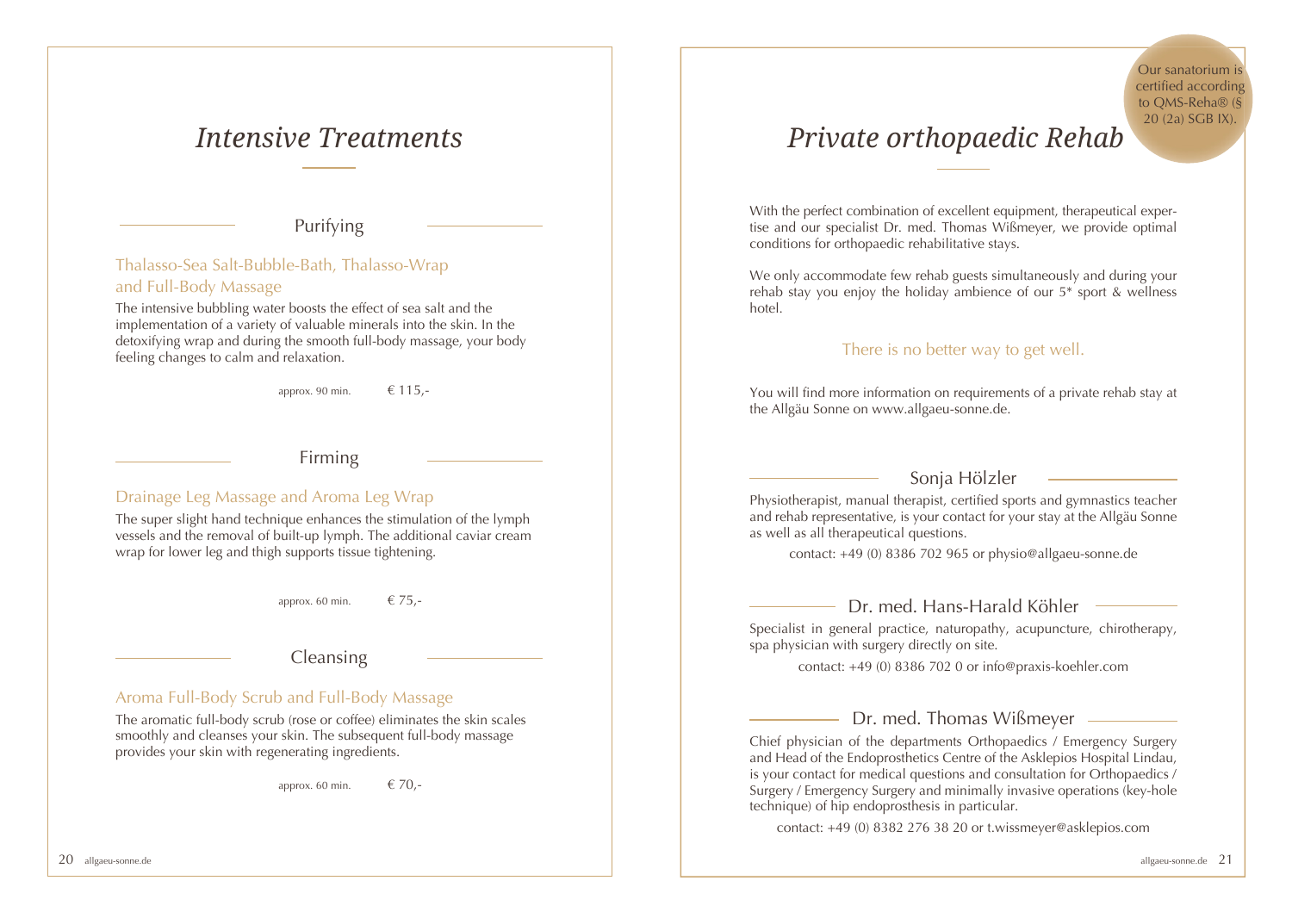### *Intensive Treatments*

Purifying

Thalasso-Sea Salt-Bubble-Bath, Thalasso-Wrap and Full-Body Massage

The intensive bubbling water boosts the effect of sea salt and the implementation of a variety of valuable minerals into the skin. In the detoxifying wrap and during the smooth full-body massage, your body feeling changes to calm and relaxation.

approx. 90 min.  $\epsilon$  115.-

Firming

#### Drainage Leg Massage and Aroma Leg Wrap

The super slight hand technique enhances the stimulation of the lymph vessels and the removal of built-up lymph. The additional caviar cream wrap for lower leg and thigh supports tissue tightening.

approx. 60 min.  $\epsilon$  75,-

### Cleansing

#### Aroma Full-Body Scrub and Full-Body Massage

The aromatic full-body scrub (rose or coffee) eliminates the skin scales smoothly and cleanses your skin. The subsequent full-body massage provides your skin with regenerating ingredients.

approx. 60 min.  $\epsilon$  70,-

## *Private orthopaedic Rehab*

With the perfect combination of excellent equipment, therapeutical expertise and our specialist Dr. med. Thomas Wißmeyer, we provide optimal conditions for orthopaedic rehabilitative stays.

We only accommodate few rehab guests simultaneously and during your rehab stay you enjoy the holiday ambience of our 5\* sport & wellness hotel.

#### There is no better way to get well.

You will find more information on requirements of a private rehab stay at the Allgäu Sonne on www.allgaeu-sonne.de.

### Sonja Hölzler

Physiotherapist, manual therapist, certified sports and gymnastics teacher and rehab representative, is your contact for your stay at the Allgäu Sonne as well as all therapeutical questions.

contact: +49 (0) 8386 702 965 or physio@allgaeu-sonne.de

#### $-$  Dr. med. Hans-Harald Köhler  $-$

Specialist in general practice, naturopathy, acupuncture, chirotherapy, spa physician with surgery directly on site.

contact: +49 (0) 8386 702 0 or info@praxis-koehler.com

### Dr. med. Thomas Wißmeyer

Chief physician of the departments Orthopaedics / Emergency Surgery and Head of the Endoprosthetics Centre of the Asklepios Hospital Lindau, is your contact for medical questions and consultation for Orthopaedics / Surgery / Emergency Surgery and minimally invasive operations (key-hole technique) of hip endoprosthesis in particular.

contact: +49 (0) 8382 276 38 20 or t.wissmeyer@asklepios.com

Our sanatorium is certified according to QMS-Reha® (§ 20 (2a) SGB IX).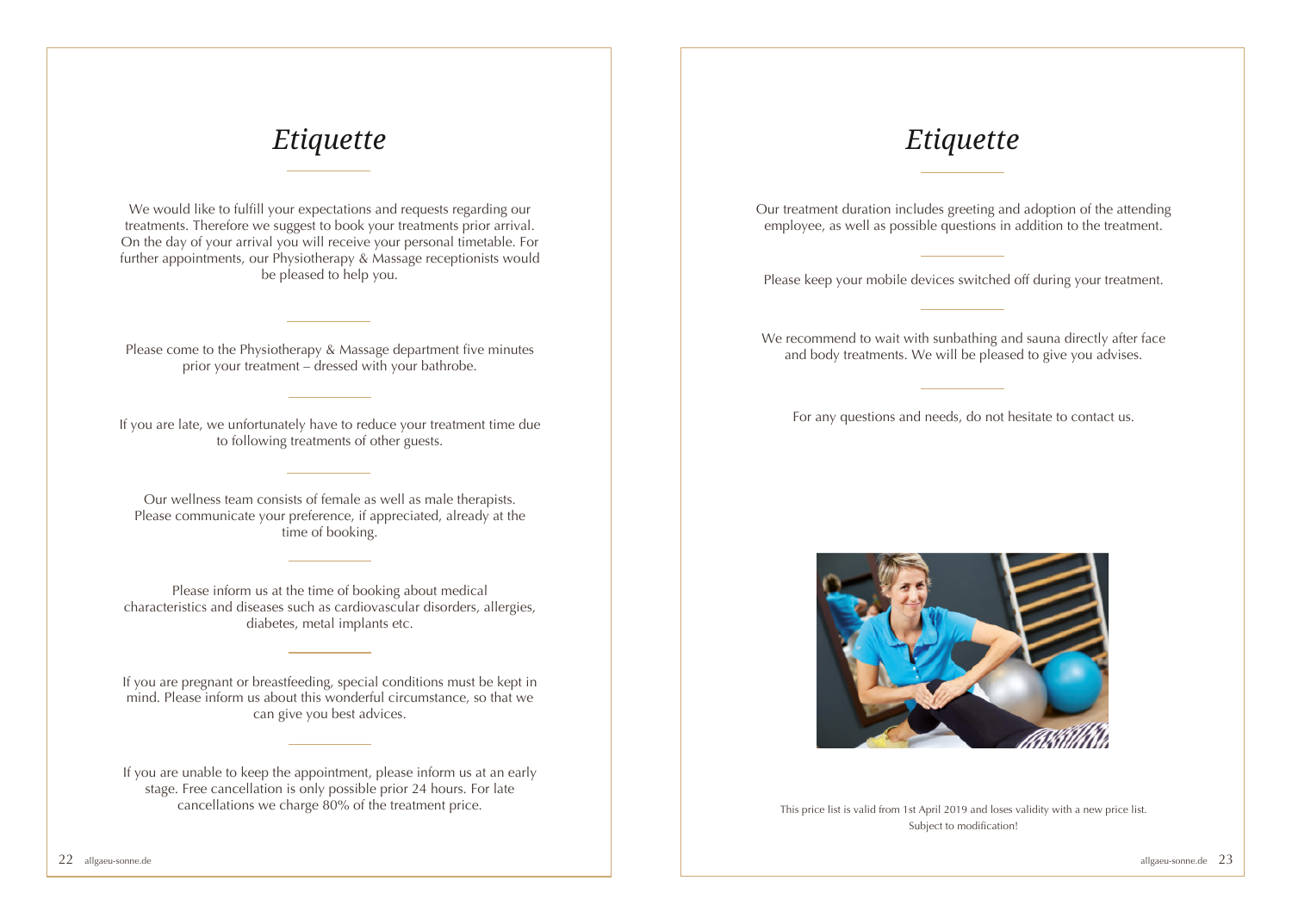## *Etiquette*

We would like to fulfill your expectations and requests regarding our treatments. Therefore we suggest to book your treatments prior arrival. On the day of your arrival you will receive your personal timetable. For further appointments, our Physiotherapy & Massage receptionists would be pleased to help you.

Please come to the Physiotherapy & Massage department five minutes prior your treatment – dressed with your bathrobe.

If you are late, we unfortunately have to reduce your treatment time due to following treatments of other guests.

Our wellness team consists of female as well as male therapists. Please communicate your preference, if appreciated, already at the time of booking.

Please inform us at the time of booking about medical characteristics and diseases such as cardiovascular disorders, allergies, diabetes, metal implants etc.

If you are pregnant or breastfeeding, special conditions must be kept in  $\frac{1}{g}$  mind. Please inform us about this wonderful circumstance, so that we can give you best advices.

If you are unable to keep the appointment, please inform us at an early stage. Free cancellation is only possible prior 24 hours. For late<br>cancellations we charge 80% of the treatment price.

### *Etiquette*

Our treatment duration includes greeting and adoption of the attending employee, as well as possible questions in addition to the treatment.

Please keep your mobile devices switched off during your treatment.

We recommend to wait with sunbathing and sauna directly after face and body treatments. We will be pleased to give you advises.

For any questions and needs, do not hesitate to contact us.



This price list is valid from 1st April 2019 and loses validity with a new price list. Subject to modification!